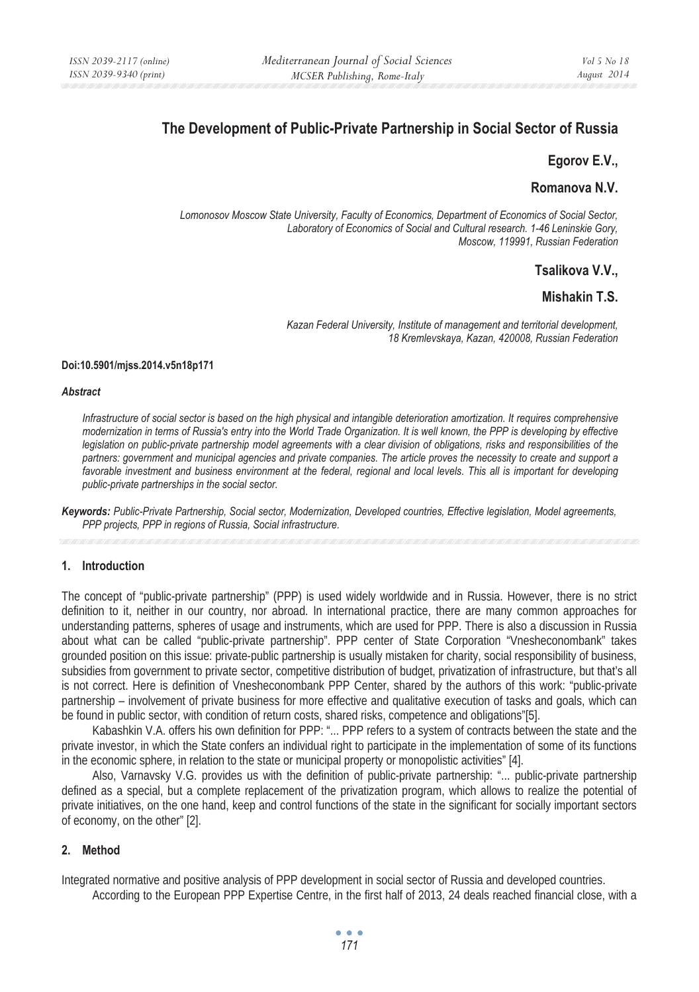# **The Development of Public-Private Partnership in Social Sector of Russia**

## **Egorov E.V.,**

# **Romanova N.V.**

*Lomonosov Moscow State University, Faculty of Economics, Department of Economics of Social Sector, Laboratory of Economics of Social and Cultural research. 1-46 Leninskie Gory, Moscow, 119991, Russian Federation* 

# **Tsalikova V.V.,**

# **Mishakin T.S.**

*Kazan Federal University, Institute of management and territorial development, 18 Kremlevskaya, Kazan, 420008, Russian Federation* 

#### **Doi:10.5901/mjss.2014.v5n18p171**

#### *Abstract*

*Infrastructure of social sector is based on the high physical and intangible deterioration amortization. It requires comprehensive modernization in terms of Russia's entry into the World Trade Organization. It is well known, the PPP is developing by effective legislation on public-private partnership model agreements with a clear division of obligations, risks and responsibilities of the partners: government and municipal agencies and private companies. The article proves the necessity to create and support a favorable investment and business environment at the federal, regional and local levels. This all is important for developing public-private partnerships in the social sector.* 

*Keywords: Public-Private Partnership, Social sector, Modernization, Developed countries, Effective legislation, Model agreements, PPP projects, PPP in regions of Russia, Social infrastructure.* 

### **1. Introduction**

The concept of "public-private partnership" (PPP) is used widely worldwide and in Russia. However, there is no strict definition to it, neither in our country, nor abroad. In international practice, there are many common approaches for understanding patterns, spheres of usage and instruments, which are used for PPP. There is also a discussion in Russia about what can be called "public-private partnership". PPP center of State Corporation "Vnesheconombank" takes grounded position on this issue: private-public partnership is usually mistaken for charity, social responsibility of business, subsidies from government to private sector, competitive distribution of budget, privatization of infrastructure, but that's all is not correct. Here is definition of Vnesheconombank PPP Center, shared by the authors of this work: "public-private partnership – involvement of private business for more effective and qualitative execution of tasks and goals, which can be found in public sector, with condition of return costs, shared risks, competence and obligations"[5].

Kabashkin V.A. offers his own definition for PPP: "... PPP refers to a system of contracts between the state and the private investor, in which the State confers an individual right to participate in the implementation of some of its functions in the economic sphere, in relation to the state or municipal property or monopolistic activities" [4].

Also, Varnavsky V.G. provides us with the definition of public-private partnership: "... public-private partnership defined as a special, but a complete replacement of the privatization program, which allows to realize the potential of private initiatives, on the one hand, keep and control functions of the state in the significant for socially important sectors of economy, on the other" [2].

### **2. Method**

Integrated normative and positive analysis of PPP development in social sector of Russia and developed countries.

According to the European PPP Expertise Centre, in the first half of 2013, 24 deals reached financial close, with a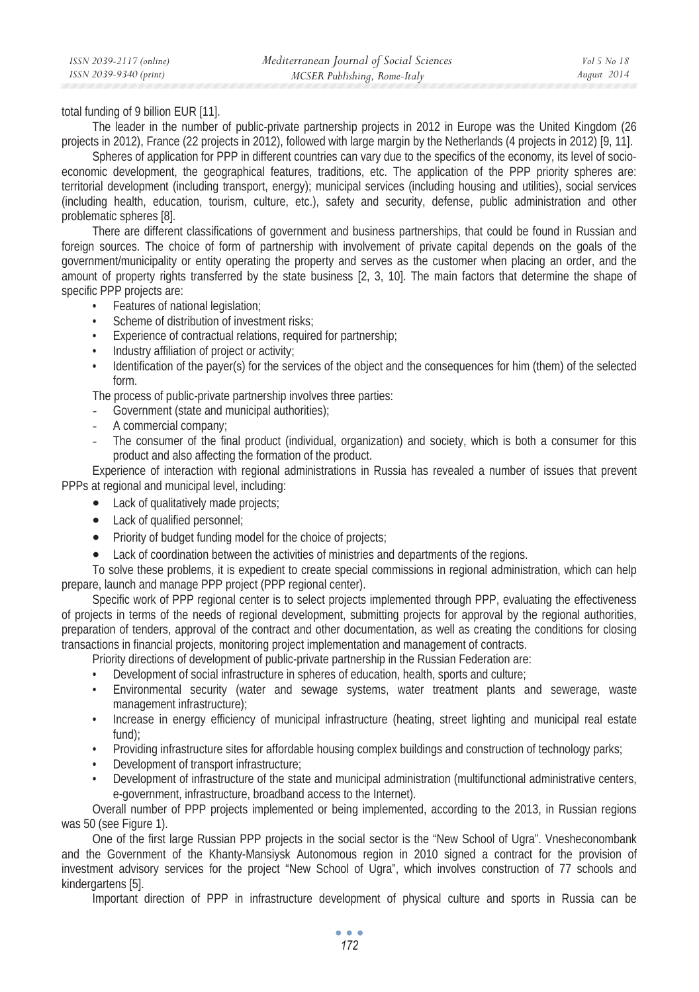total funding of 9 billion EUR [11].

The leader in the number of public-private partnership projects in 2012 in Europe was the United Kingdom (26 projects in 2012), France (22 projects in 2012), followed with large margin by the Netherlands (4 projects in 2012) [9, 11].

Spheres of application for PPP in different countries can vary due to the specifics of the economy, its level of socioeconomic development, the geographical features, traditions, etc. The application of the PPP priority spheres are: territorial development (including transport, energy); municipal services (including housing and utilities), social services (including health, education, tourism, culture, etc.), safety and security, defense, public administration and other problematic spheres [8].

There are different classifications of government and business partnerships, that could be found in Russian and foreign sources. The choice of form of partnership with involvement of private capital depends on the goals of the government/municipality or entity operating the property and serves as the customer when placing an order, and the amount of property rights transferred by the state business [2, 3, 10]. The main factors that determine the shape of specific PPP projects are:

- Features of national legislation;
- Scheme of distribution of investment risks;
- Experience of contractual relations, required for partnership;
- Industry affiliation of project or activity;
- Identification of the payer(s) for the services of the object and the consequences for him (them) of the selected form.

The process of public-private partnership involves three parties:

- Government (state and municipal authorities);
- A commercial company;
- The consumer of the final product (individual, organization) and society, which is both a consumer for this product and also affecting the formation of the product.

Experience of interaction with regional administrations in Russia has revealed a number of issues that prevent PPPs at regional and municipal level, including:

- Lack of qualitatively made projects;
- Lack of qualified personnel;
- Priority of budget funding model for the choice of projects;
- Lack of coordination between the activities of ministries and departments of the regions.

To solve these problems, it is expedient to create special commissions in regional administration, which can help prepare, launch and manage PPP project (PPP regional center).

Specific work of PPP regional center is to select projects implemented through PPP, evaluating the effectiveness of projects in terms of the needs of regional development, submitting projects for approval by the regional authorities, preparation of tenders, approval of the contract and other documentation, as well as creating the conditions for closing transactions in financial projects, monitoring project implementation and management of contracts.

Priority directions of development of public-private partnership in the Russian Federation are:

- Development of social infrastructure in spheres of education, health, sports and culture;
- Environmental security (water and sewage systems, water treatment plants and sewerage, waste management infrastructure);
- Increase in energy efficiency of municipal infrastructure (heating, street lighting and municipal real estate fund);
- Providing infrastructure sites for affordable housing complex buildings and construction of technology parks;
- Development of transport infrastructure;
- Development of infrastructure of the state and municipal administration (multifunctional administrative centers, e-government, infrastructure, broadband access to the Internet).

Overall number of PPP projects implemented or being implemented, according to the 2013, in Russian regions was 50 (see Figure 1).

One of the first large Russian PPP projects in the social sector is the "New School of Ugra". Vnesheconombank and the Government of the Khanty-Mansiysk Autonomous region in 2010 signed a contract for the provision of investment advisory services for the project "New School of Ugra", which involves construction of 77 schools and kindergartens [5].

Important direction of PPP in infrastructure development of physical culture and sports in Russia can be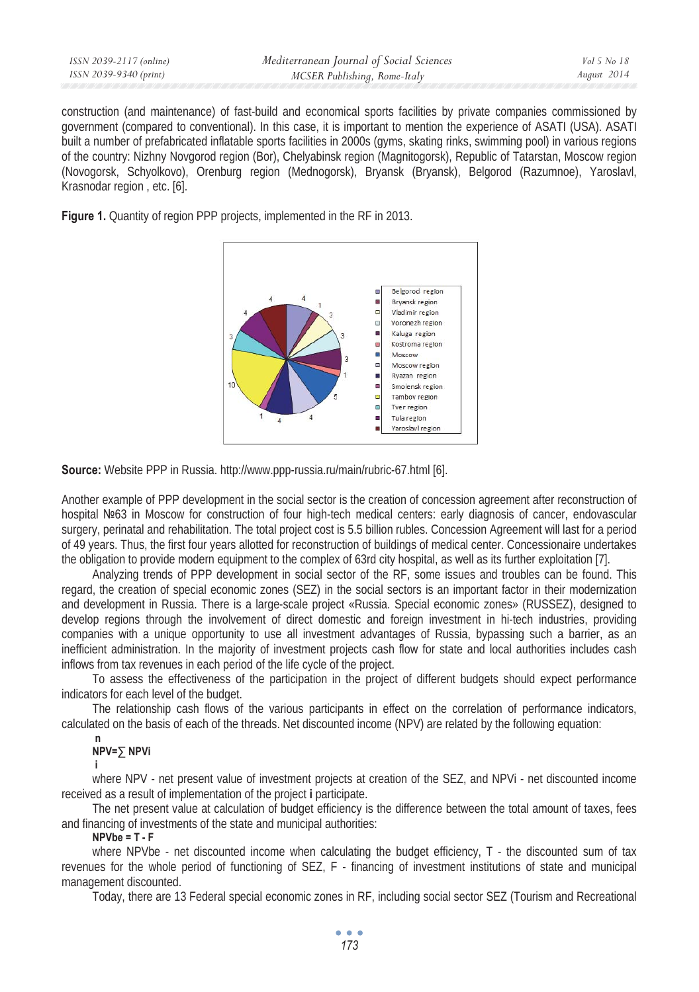| ISSN 2039-2117 (online) | Mediterranean Journal of Social Sciences | Vol 5 No 18 |
|-------------------------|------------------------------------------|-------------|
| ISSN 2039-9340 (print)  | MCSER Publishing, Rome-Italy             | August 2014 |
|                         |                                          |             |

construction (and maintenance) of fast-build and economical sports facilities by private companies commissioned by government (compared to conventional). In this case, it is important to mention the experience of ASATI (USA). ASATI built a number of prefabricated inflatable sports facilities in 2000s (gyms, skating rinks, swimming pool) in various regions of the country: Nizhny Novgorod region (Bor), Chelyabinsk region (Magnitogorsk), Republic of Tatarstan, Moscow region (Novogorsk, Schyolkovo), Orenburg region (Mednogorsk), Bryansk (Bryansk), Belgorod (Razumnoe), Yaroslavl, Krasnodar region , etc. [6].





**Source:** Website PPP in Russia. http://www.ppp-russia.ru/main/rubric-67.html [6].

Another example of PPP development in the social sector is the creation of concession agreement after reconstruction of hospital Nº63 in Moscow for construction of four high-tech medical centers: early diagnosis of cancer, endovascular surgery, perinatal and rehabilitation. The total project cost is 5.5 billion rubles. Concession Agreement will last for a period of 49 years. Thus, the first four years allotted for reconstruction of buildings of medical center. Concessionaire undertakes the obligation to provide modern equipment to the complex of 63rd city hospital, as well as its further exploitation [7].

Analyzing trends of PPP development in social sector of the RF, some issues and troubles can be found. This regard, the creation of special economic zones (SEZ) in the social sectors is an important factor in their modernization and development in Russia. There is a large-scale project «Russia. Special economic zones» (RUSSEZ), designed to develop regions through the involvement of direct domestic and foreign investment in hi-tech industries, providing companies with a unique opportunity to use all investment advantages of Russia, bypassing such a barrier, as an inefficient administration. In the majority of investment projects cash flow for state and local authorities includes cash inflows from tax revenues in each period of the life cycle of the project.

To assess the effectiveness of the participation in the project of different budgets should expect performance indicators for each level of the budget.

The relationship cash flows of the various participants in effect on the correlation of performance indicators, calculated on the basis of each of the threads. Net discounted income (NPV) are related by the following equation:

#### **n NPV= NPVi**

 **i** 

where NPV - net present value of investment projects at creation of the SEZ, and NPVi - net discounted income received as a result of implementation of the project **i** participate.

The net present value at calculation of budget efficiency is the difference between the total amount of taxes, fees and financing of investments of the state and municipal authorities:

### **NPVbe = T - F**

where NPVbe - net discounted income when calculating the budget efficiency, T - the discounted sum of tax revenues for the whole period of functioning of SEZ, F - financing of investment institutions of state and municipal management discounted.

Today, there are 13 Federal special economic zones in RF, including social sector SEZ (Tourism and Recreational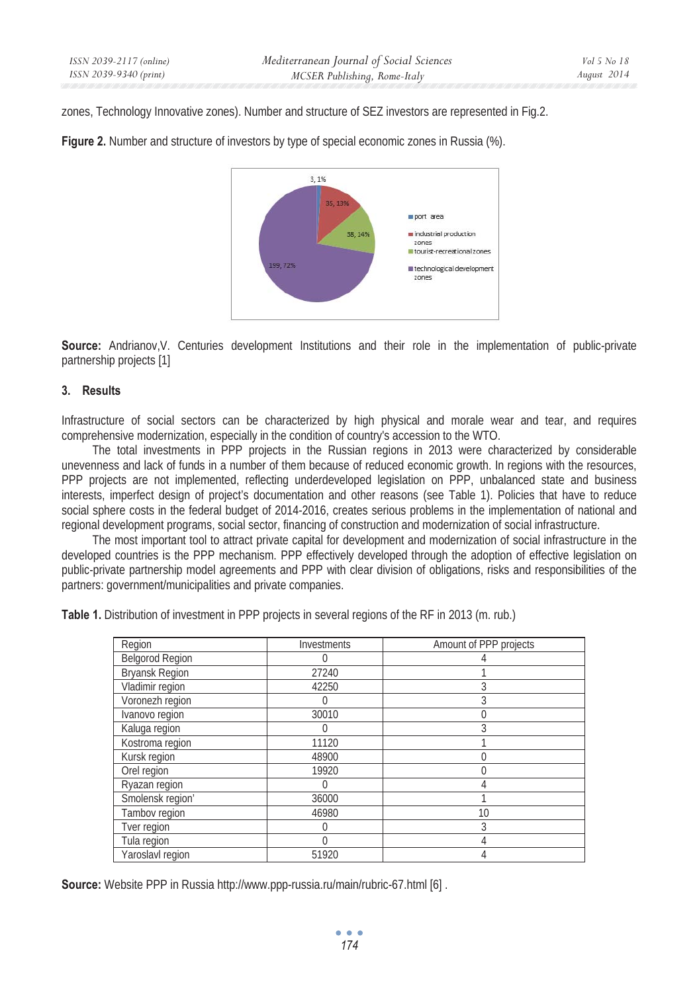zones, Technology Innovative zones). Number and structure of SEZ investors are represented in Fig.2.





**Source:** Andrianov, V. Centuries development Institutions and their role in the implementation of public-private partnership projects [1]

#### **3. Results**

Infrastructure of social sectors can be characterized by high physical and morale wear and tear, and requires comprehensive modernization, especially in the condition of country's accession to the WTO.

The total investments in PPP projects in the Russian regions in 2013 were characterized by considerable unevenness and lack of funds in a number of them because of reduced economic growth. In regions with the resources, PPP projects are not implemented, reflecting underdeveloped legislation on PPP, unbalanced state and business interests, imperfect design of project's documentation and other reasons (see Table 1). Policies that have to reduce social sphere costs in the federal budget of 2014-2016, creates serious problems in the implementation of national and regional development programs, social sector, financing of construction and modernization of social infrastructure.

The most important tool to attract private capital for development and modernization of social infrastructure in the developed countries is the PPP mechanism. PPP effectively developed through the adoption of effective legislation on public-private partnership model agreements and PPP with clear division of obligations, risks and responsibilities of the partners: government/municipalities and private companies.

|  | Table 1. Distribution of investment in PPP projects in several regions of the RF in 2013 (m. rub.) |  |  |  |
|--|----------------------------------------------------------------------------------------------------|--|--|--|
|  |                                                                                                    |  |  |  |

| Region                | Investments      | Amount of PPP projects |
|-----------------------|------------------|------------------------|
| Belgorod Region       | 0                |                        |
| <b>Bryansk Region</b> | 27240            |                        |
| Vladimir region       | 42250            |                        |
| Voronezh region       |                  |                        |
| Ivanovo region        | 30010            |                        |
| Kaluga region         |                  |                        |
| Kostroma region       | 11120            |                        |
| Kursk region          | 48900            |                        |
| Orel region           | 19920            |                        |
| Ryazan region         | $\left( \right)$ |                        |
| Smolensk region'      | 36000            |                        |
| Tambov region         | 46980            | 10                     |
| Tver region           | 0                | 3                      |
| Tula region           | 0                |                        |
| Yaroslavl region      | 51920            |                        |

**Source:** Website PPP in Russia http://www.ppp-russia.ru/main/rubric-67.html [6] .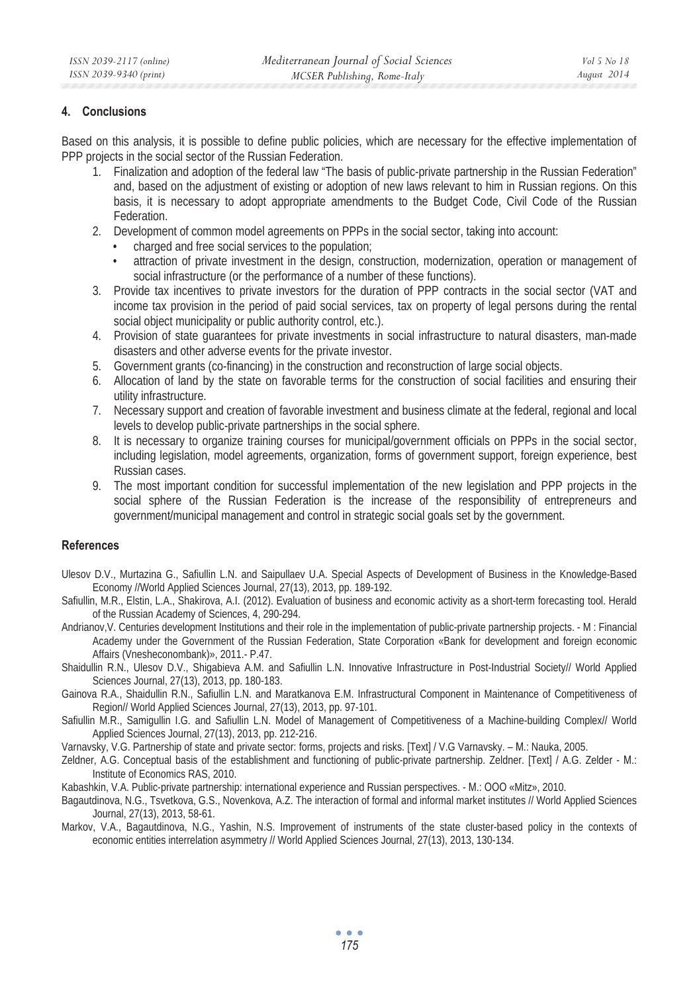## **4. Conclusions**

Based on this analysis, it is possible to define public policies, which are necessary for the effective implementation of PPP projects in the social sector of the Russian Federation.

- 1. Finalization and adoption of the federal law "The basis of public-private partnership in the Russian Federation" and, based on the adjustment of existing or adoption of new laws relevant to him in Russian regions. On this basis, it is necessary to adopt appropriate amendments to the Budget Code, Civil Code of the Russian Federation.
- 2. Development of common model agreements on PPPs in the social sector, taking into account:
	- charged and free social services to the population;
	- attraction of private investment in the design, construction, modernization, operation or management of social infrastructure (or the performance of a number of these functions).
- 3. Provide tax incentives to private investors for the duration of PPP contracts in the social sector (VAT and income tax provision in the period of paid social services, tax on property of legal persons during the rental social object municipality or public authority control, etc.).
- 4. Provision of state guarantees for private investments in social infrastructure to natural disasters, man-made disasters and other adverse events for the private investor.
- 5. Government grants (co-financing) in the construction and reconstruction of large social objects.
- 6. Allocation of land by the state on favorable terms for the construction of social facilities and ensuring their utility infrastructure.
- 7. Necessary support and creation of favorable investment and business climate at the federal, regional and local levels to develop public-private partnerships in the social sphere.
- 8. It is necessary to organize training courses for municipal/government officials on PPPs in the social sector, including legislation, model agreements, organization, forms of government support, foreign experience, best Russian cases.
- 9. The most important condition for successful implementation of the new legislation and PPP projects in the social sphere of the Russian Federation is the increase of the responsibility of entrepreneurs and government/municipal management and control in strategic social goals set by the government.

### **References**

- Ulesov D.V., Murtazina G., Safiullin L.N. and Saipullaev U.A. Special Aspects of Development of Business in the Knowledge-Based Economy //World Applied Sciences Journal, 27(13), 2013, pp. 189-192.
- Safiullin, M.R., Elstin, L.A., Shakirova, A.I. (2012). Evaluation of business and economic activity as a short-term forecasting tool. Herald of the Russian Academy of Sciences, 4, 290-294.
- Andrianov,V. Centuries development Institutions and their role in the implementation of public-private partnership projects. M : Financial Academy under the Government of the Russian Federation, State Corporation «Bank for development and foreign economic Affairs (Vnesheconombank)», 2011.- P.47.
- Shaidullin R.N., Ulesov D.V., Shigabieva A.M. and Safiullin L.N. Innovative Infrastructure in Post-Industrial Society// World Applied Sciences Journal, 27(13), 2013, pp. 180-183.
- Gainova R.A., Shaidullin R.N., Safiullin L.N. and Maratkanova E.M. Infrastructural Component in Maintenance of Competitiveness of Region// World Applied Sciences Journal, 27(13), 2013, pp. 97-101.
- Safiullin M.R., Samigullin I.G. and Safiullin L.N. Model of Management of Competitiveness of a Machine-building Complex// World Applied Sciences Journal, 27(13), 2013, pp. 212-216.
- Varnavsky, V.G. Partnership of state and private sector: forms, projects and risks. [Text] / V.G Varnavsky. M.: Nauka, 2005.
- Zeldner, A.G. Conceptual basis of the establishment and functioning of public-private partnership. Zeldner. [Text] / A.G. Zelder M.: Institute of Economics RAS, 2010.
- Kabashkin, V.A. Public-private partnership: international experience and Russian perspectives. M.: OOO «Mitz», 2010.
- Bagautdinova, N.G., Tsvetkova, G.S., Novenkova, A.Z. The interaction of formal and informal market institutes // World Applied Sciences Journal, 27(13), 2013, 58-61.
- Markov, V.A., Bagautdinova, N.G., Yashin, N.S. Improvement of instruments of the state cluster-based policy in the contexts of economic entities interrelation asymmetry // World Applied Sciences Journal, 27(13), 2013, 130-134.